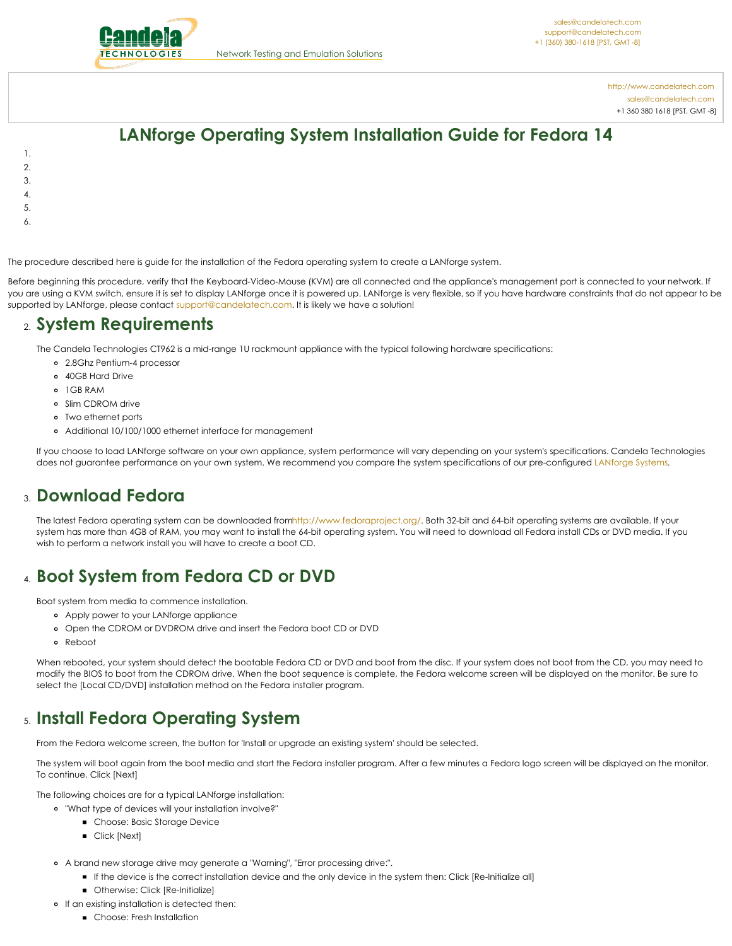

<http://www.candelatech.com> [sales@candelatech.com](mailto:sales@candelatech.com) +1 360 380 1618 [PST, GMT -8]

## **LANforge Operating System Installation Guide for Fedora 14**

- 1.
- 2.
- 3.
- 4.
- 5.
- 
- 6.

The procedure described here is guide for the installation of the Fedora operating system to create a LANforge system.

Before beginning this procedure, verify that the Keyboard-Video-Mouse (KVM) are all connected and the appliance's management port is connected to your network. If you are using a KVM switch, ensure it is set to display LANforge once it is powered up. LANforge is very flexible, so if you have hardware constraints that do not appear to be supported by LANforge, please contact [support@candelatech.com](mailto:sales@candelatech.com). It is likely we have a solution!

#### 2. **System Requirements**

The Candela Technologies CT962 is a mid-range 1U rackmount appliance with the typical following hardware specifications:

- 2.8Ghz Pentium-4 processor
- 40GB Hard Drive
- 1GB RAM
- o Slim CDROM drive
- Two ethernet ports
- Additional 10/100/1000 ethernet interface for management

If you choose to load LANforge software on your own appliance, system performance will vary depending on your system's specifications. Candela Technologies does not guarantee performance on your own system. We recommend you compare the system specifications of our pre-configured [LANforge](http://www.candelatech.com/lf_systems.html) Systems.

#### 3. **Download Fedora**

The latest Fedora operating system can be downloaded fro[mhttp://www.fedoraproject.org/](http://www.fedoraproject.org/). Both 32-bit and 64-bit operating systems are available. If your system has more than 4GB of RAM, you may want to install the 64-bit operating system. You will need to download all Fedora install CDs or DVD media. If you wish to perform a network install you will have to create a boot CD.

## 4. **Boot System from Fedora CD or DVD**

Boot system from media to commence installation.

- Apply power to your LANforge appliance
- Open the CDROM or DVDROM drive and insert the Fedora boot CD or DVD
- Reboot

When rebooted, your system should detect the bootable Fedora CD or DVD and boot from the disc. If your system does not boot from the CD, you may need to modify the BIOS to boot from the CDROM drive. When the boot sequence is complete, the Fedora welcome screen will be displayed on the monitor. Be sure to select the [Local CD/DVD] installation method on the Fedora installer program.

### 5. **Install Fedora Operating System**

From the Fedora welcome screen, the button for 'Install or upgrade an existing system' should be selected.

The system will boot again from the boot media and start the Fedora installer program. After a few minutes a Fedora logo screen will be displayed on the monitor. To continue, Click [Next]

The following choices are for a typical LANforge installation:

- "What type of devices will your installation involve?"
	- **Choose: Basic Storage Device** 
		- **Click [Next]**
- A brand new storage drive may generate a "Warning", "Error processing drive:".
	- If the device is the correct installation device and the only device in the system then: Click [Re-Initialize all]
	- **Otherwise: Click [Re-Initialize]**
- o If an existing installation is detected then:
	- **Choose: Fresh Installation**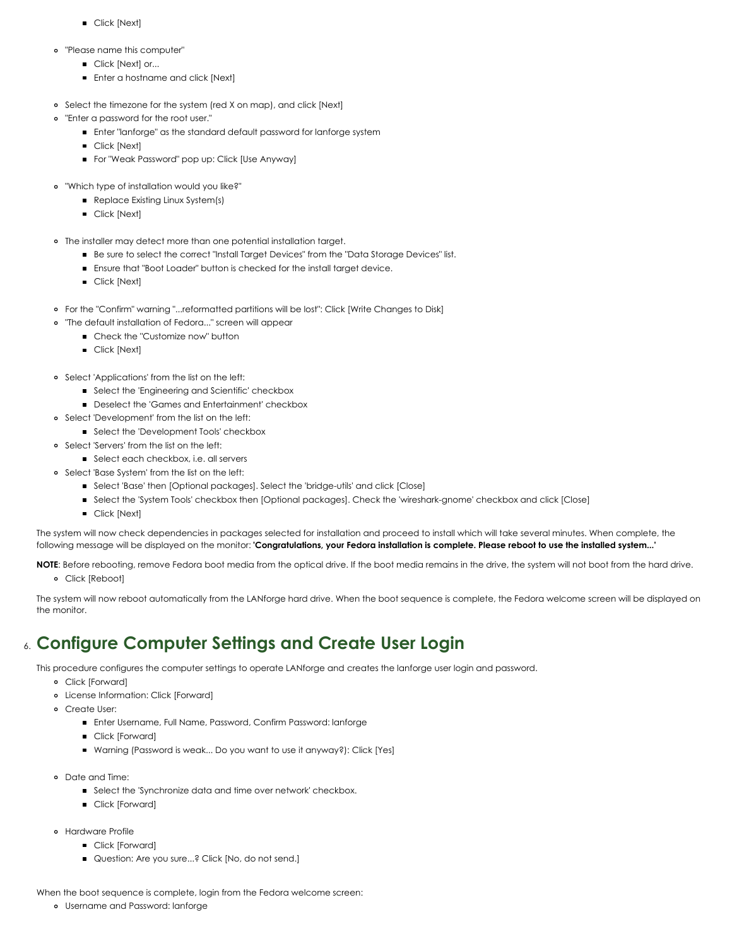- **Click [Next]**
- "Please name this computer"
	- **Click [Next] or...**
	- **Enter a hostname and click [Next]**
- Select the timezone for the system (red X on map), and click [Next]
- "Enter a password for the root user."
	- Enter "lanforge" as the standard default password for lanforge system
	- **Click [Next]**
	- For "Weak Password" pop up: Click [Use Anyway]
- "Which type of installation would you like?"
	- **Replace Existing Linux System(s)**
	- **Click [Next]**
- The installer may detect more than one potential installation target.
	- Be sure to select the correct "Install Target Devices" from the "Data Storage Devices" list.
	- Ensure that "Boot Loader" button is checked for the install target device.
	- **Click [Next]**
- For the "Confirm" warning "...reformatted partitions will be lost": Click [Write Changes to Disk]
- "The default installation of Fedora..." screen will appear  $\circ$ 
	- Check the "Customize now" button
		- **Click [Next]**
- o Select 'Applications' from the list on the left:
	- Select the 'Engineering and Scientific' checkbox
	- **Deselect the 'Games and Entertainment' checkbox**
- Select 'Development' from the list on the left:
	- **Select the 'Development Tools' checkbox**
- Select 'Servers' from the list on the left:
	- Select each checkbox, i.e. all servers
- o Select 'Base System' from the list on the left:
	- Select 'Base' then [Optional packages]. Select the 'bridge-utils' and click [Close]
	- Select the 'System Tools' checkbox then [Optional packages]. Check the 'wireshark-gnome' checkbox and click [Close]
	- **Click [Next]**

The system will now check dependencies in packages selected for installation and proceed to install which will take several minutes. When complete, the following message will be displayed on the monitor: 'Congratulations, your Fedora installation is complete. Please reboot to use the installed system...'

**NOTE**: Before rebooting, remove Fedora boot media from the optical drive. If the boot media remains in the drive, the system will not boot from the hard drive.

Click [Reboot]

The system will now reboot automatically from the LANforge hard drive. When the boot sequence is complete, the Fedora welcome screen will be displayed on the monitor.

### 6. **Configure Computer Settings and Create User Login**

This procedure configures the computer settings to operate LANforge and creates the lanforge user login and password.

- Click [Forward]
- License Information: Click [Forward]
- Create User:
	- Enter Username, Full Name, Password, Confirm Password: lanforge
	- **Click [Forward]**
	- Warning (Password is weak... Do you want to use it anyway?): Click [Yes]
- Date and Time:
	- **Select the 'Synchronize data and time over network' checkbox.**
	- **Click [Forward]**
- Hardware Profile
	- **Click [Forward]**
	- **Question: Are you sure...? Click [No, do not send.]**

When the boot sequence is complete, login from the Fedora welcome screen:

Username and Password: lanforge